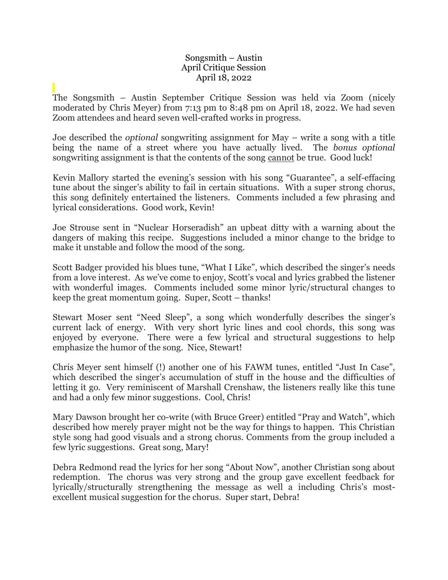## Songsmith – Austin April Critique Session April 18, 2022

The Songsmith – Austin September Critique Session was held via Zoom (nicely moderated by Chris Meyer) from 7:13 pm to 8:48 pm on April 18, 2022. We had seven Zoom attendees and heard seven well-crafted works in progress.

Joe described the *optional* songwriting assignment for May – write a song with a title being the name of a street where you have actually lived. The *bonus optional*  songwriting assignment is that the contents of the song cannot be true. Good luck!

Kevin Mallory started the evening's session with his song "Guarantee", a self-effacing tune about the singer's ability to fail in certain situations. With a super strong chorus, this song definitely entertained the listeners. Comments included a few phrasing and lyrical considerations. Good work, Kevin!

Joe Strouse sent in "Nuclear Horseradish" an upbeat ditty with a warning about the dangers of making this recipe. Suggestions included a minor change to the bridge to make it unstable and follow the mood of the song.

Scott Badger provided his blues tune, "What I Like", which described the singer's needs from a love interest. As we've come to enjoy, Scott's vocal and lyrics grabbed the listener with wonderful images. Comments included some minor lyric/structural changes to keep the great momentum going. Super, Scott – thanks!

Stewart Moser sent "Need Sleep", a song which wonderfully describes the singer's current lack of energy. With very short lyric lines and cool chords, this song was enjoyed by everyone. There were a few lyrical and structural suggestions to help emphasize the humor of the song. Nice, Stewart!

Chris Meyer sent himself (!) another one of his FAWM tunes, entitled "Just In Case", which described the singer's accumulation of stuff in the house and the difficulties of letting it go. Very reminiscent of Marshall Crenshaw, the listeners really like this tune and had a only few minor suggestions. Cool, Chris!

Mary Dawson brought her co-write (with Bruce Greer) entitled "Pray and Watch", which described how merely prayer might not be the way for things to happen. This Christian style song had good visuals and a strong chorus. Comments from the group included a few lyric suggestions. Great song, Mary!

Debra Redmond read the lyrics for her song "About Now", another Christian song about redemption. The chorus was very strong and the group gave excellent feedback for lyrically/structurally strengthening the message as well a including Chris's mostexcellent musical suggestion for the chorus. Super start, Debra!